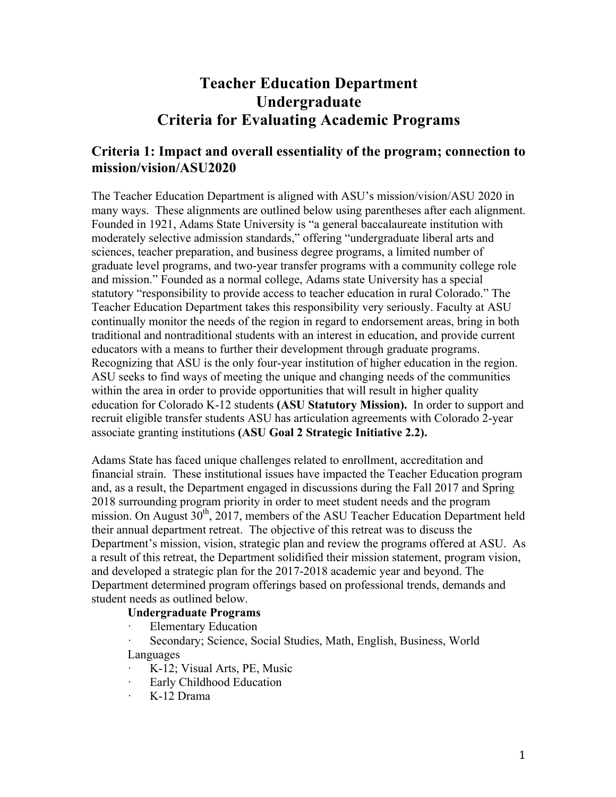# **Teacher Education Department Undergraduate Criteria for Evaluating Academic Programs**

## **Criteria 1: Impact and overall essentiality of the program; connection to mission/vision/ASU2020**

The Teacher Education Department is aligned with ASU's mission/vision/ASU 2020 in many ways. These alignments are outlined below using parentheses after each alignment. Founded in 1921, Adams State University is "a general baccalaureate institution with moderately selective admission standards," offering "undergraduate liberal arts and sciences, teacher preparation, and business degree programs, a limited number of graduate level programs, and two-year transfer programs with a community college role and mission." Founded as a normal college, Adams state University has a special statutory "responsibility to provide access to teacher education in rural Colorado." The Teacher Education Department takes this responsibility very seriously. Faculty at ASU continually monitor the needs of the region in regard to endorsement areas, bring in both traditional and nontraditional students with an interest in education, and provide current educators with a means to further their development through graduate programs. Recognizing that ASU is the only four-year institution of higher education in the region. ASU seeks to find ways of meeting the unique and changing needs of the communities within the area in order to provide opportunities that will result in higher quality education for Colorado K-12 students **(ASU Statutory Mission).** In order to support and recruit eligible transfer students ASU has articulation agreements with Colorado 2-year associate granting institutions **(ASU Goal 2 Strategic Initiative 2.2).**

Adams State has faced unique challenges related to enrollment, accreditation and financial strain. These institutional issues have impacted the Teacher Education program and, as a result, the Department engaged in discussions during the Fall 2017 and Spring 2018 surrounding program priority in order to meet student needs and the program mission. On August  $30<sup>th</sup>$ ,  $2017$ , members of the ASU Teacher Education Department held their annual department retreat. The objective of this retreat was to discuss the Department's mission, vision, strategic plan and review the programs offered at ASU. As a result of this retreat, the Department solidified their mission statement, program vision, and developed a strategic plan for the 2017-2018 academic year and beyond. The Department determined program offerings based on professional trends, demands and student needs as outlined below.

#### **Undergraduate Programs**

**Elementary Education** 

Secondary; Science, Social Studies, Math, English, Business, World Languages

- · K-12; Visual Arts, PE, Music
- Early Childhood Education
- · K-12 Drama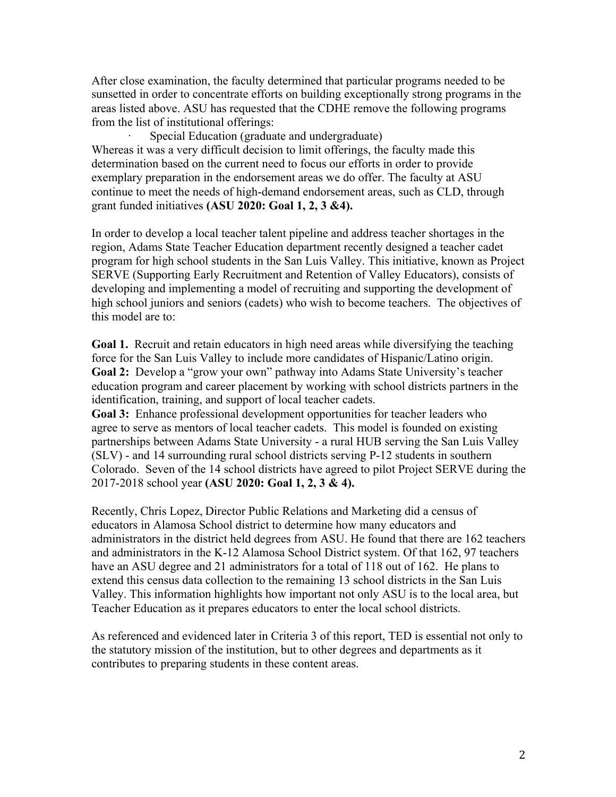After close examination, the faculty determined that particular programs needed to be sunsetted in order to concentrate efforts on building exceptionally strong programs in the areas listed above. ASU has requested that the CDHE remove the following programs from the list of institutional offerings:

Special Education (graduate and undergraduate) Whereas it was a very difficult decision to limit offerings, the faculty made this determination based on the current need to focus our efforts in order to provide exemplary preparation in the endorsement areas we do offer. The faculty at ASU continue to meet the needs of high-demand endorsement areas, such as CLD, through grant funded initiatives **(ASU 2020: Goal 1, 2, 3 &4).**

In order to develop a local teacher talent pipeline and address teacher shortages in the region, Adams State Teacher Education department recently designed a teacher cadet program for high school students in the San Luis Valley. This initiative, known as Project SERVE (Supporting Early Recruitment and Retention of Valley Educators), consists of developing and implementing a model of recruiting and supporting the development of high school juniors and seniors (cadets) who wish to become teachers. The objectives of this model are to:

**Goal 1.** Recruit and retain educators in high need areas while diversifying the teaching force for the San Luis Valley to include more candidates of Hispanic/Latino origin. **Goal 2:** Develop a "grow your own" pathway into Adams State University's teacher education program and career placement by working with school districts partners in the identification, training, and support of local teacher cadets.

**Goal 3:** Enhance professional development opportunities for teacher leaders who agree to serve as mentors of local teacher cadets. This model is founded on existing partnerships between Adams State University - a rural HUB serving the San Luis Valley (SLV) - and 14 surrounding rural school districts serving P-12 students in southern Colorado. Seven of the 14 school districts have agreed to pilot Project SERVE during the 2017-2018 school year **(ASU 2020: Goal 1, 2, 3 & 4).**

Recently, Chris Lopez, Director Public Relations and Marketing did a census of educators in Alamosa School district to determine how many educators and administrators in the district held degrees from ASU. He found that there are 162 teachers and administrators in the K-12 Alamosa School District system. Of that 162, 97 teachers have an ASU degree and 21 administrators for a total of 118 out of 162. He plans to extend this census data collection to the remaining 13 school districts in the San Luis Valley. This information highlights how important not only ASU is to the local area, but Teacher Education as it prepares educators to enter the local school districts.

As referenced and evidenced later in Criteria 3 of this report, TED is essential not only to the statutory mission of the institution, but to other degrees and departments as it contributes to preparing students in these content areas.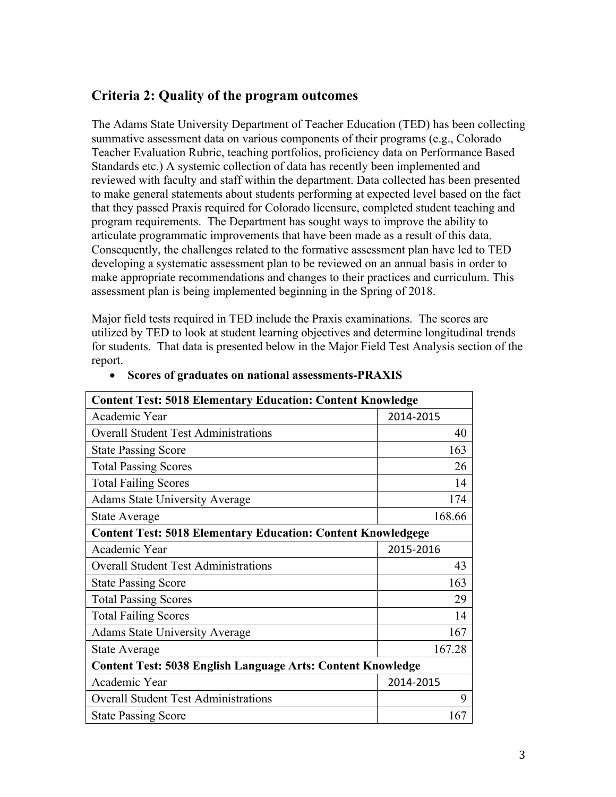## **Criteria 2: Quality of the program outcomes**

The Adams State University Department of Teacher Education (TED) has been collecting summative assessment data on various components of their programs (e.g., Colorado Teacher Evaluation Rubric, teaching portfolios, proficiency data on Performance Based Standards etc.) A systemic collection of data has recently been implemented and reviewed with faculty and staff within the department. Data collected has been presented to make general statements about students performing at expected level based on the fact that they passed Praxis required for Colorado licensure, completed student teaching and program requirements. The Department has sought ways to improve the ability to articulate programmatic improvements that have been made as a result of this data. Consequently, the challenges related to the formative assessment plan have led to TED developing a systematic assessment plan to be reviewed on an annual basis in order to make appropriate recommendations and changes to their practices and curriculum. This assessment plan is being implemented beginning in the Spring of 2018.

Major field tests required in TED include the Praxis examinations. The scores are utilized by TED to look at student learning objectives and determine longitudinal trends for students. That data is presented below in the Major Field Test Analysis section of the report.

| <b>Content Test: 5018 Elementary Education: Content Knowledge</b>   |           |  |  |  |  |  |
|---------------------------------------------------------------------|-----------|--|--|--|--|--|
| Academic Year                                                       | 2014-2015 |  |  |  |  |  |
| <b>Overall Student Test Administrations</b>                         | 40        |  |  |  |  |  |
| <b>State Passing Score</b>                                          | 163       |  |  |  |  |  |
| <b>Total Passing Scores</b>                                         | 26        |  |  |  |  |  |
| <b>Total Failing Scores</b>                                         | 14        |  |  |  |  |  |
| <b>Adams State University Average</b>                               | 174       |  |  |  |  |  |
| <b>State Average</b>                                                | 168.66    |  |  |  |  |  |
| <b>Content Test: 5018 Elementary Education: Content Knowledgege</b> |           |  |  |  |  |  |
| Academic Year                                                       | 2015-2016 |  |  |  |  |  |
| <b>Overall Student Test Administrations</b>                         | 43        |  |  |  |  |  |
| <b>State Passing Score</b>                                          | 163       |  |  |  |  |  |
| <b>Total Passing Scores</b>                                         | 29        |  |  |  |  |  |
| <b>Total Failing Scores</b>                                         | 14        |  |  |  |  |  |
| <b>Adams State University Average</b>                               | 167       |  |  |  |  |  |
| State Average                                                       | 167.28    |  |  |  |  |  |
| <b>Content Test: 5038 English Language Arts: Content Knowledge</b>  |           |  |  |  |  |  |
| Academic Year                                                       | 2014-2015 |  |  |  |  |  |
| <b>Overall Student Test Administrations</b>                         | 9         |  |  |  |  |  |
| <b>State Passing Score</b>                                          | 167       |  |  |  |  |  |

#### • **Scores of graduates on national assessments-PRAXIS**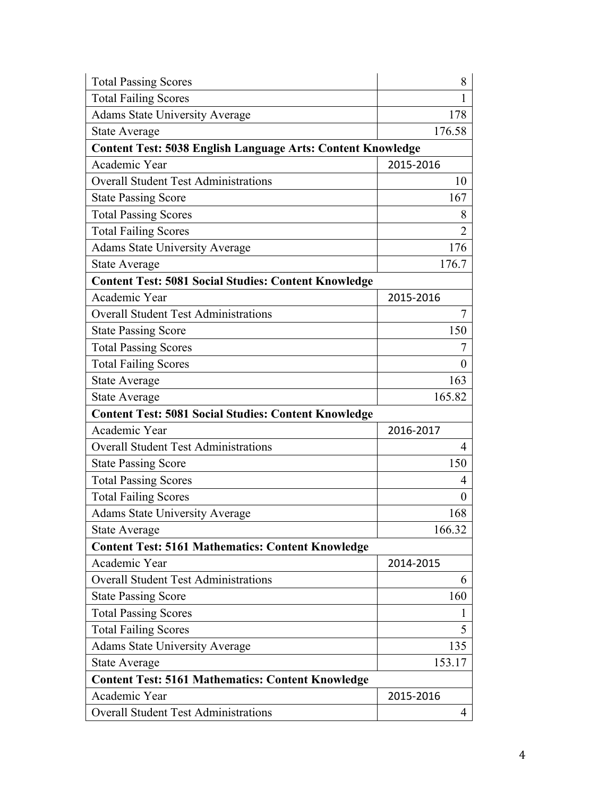| <b>Total Passing Scores</b>                                        | 8              |  |  |  |  |  |
|--------------------------------------------------------------------|----------------|--|--|--|--|--|
| <b>Total Failing Scores</b>                                        | 1              |  |  |  |  |  |
| <b>Adams State University Average</b>                              | 178            |  |  |  |  |  |
| State Average                                                      | 176.58         |  |  |  |  |  |
| <b>Content Test: 5038 English Language Arts: Content Knowledge</b> |                |  |  |  |  |  |
| Academic Year                                                      | 2015-2016      |  |  |  |  |  |
| <b>Overall Student Test Administrations</b>                        | 10             |  |  |  |  |  |
| <b>State Passing Score</b>                                         | 167            |  |  |  |  |  |
| <b>Total Passing Scores</b>                                        | 8              |  |  |  |  |  |
| <b>Total Failing Scores</b>                                        | $\overline{2}$ |  |  |  |  |  |
| <b>Adams State University Average</b>                              | 176            |  |  |  |  |  |
| State Average                                                      | 176.7          |  |  |  |  |  |
| <b>Content Test: 5081 Social Studies: Content Knowledge</b>        |                |  |  |  |  |  |
| Academic Year                                                      | 2015-2016      |  |  |  |  |  |
| <b>Overall Student Test Administrations</b>                        | 7              |  |  |  |  |  |
| <b>State Passing Score</b>                                         | 150            |  |  |  |  |  |
| <b>Total Passing Scores</b>                                        | 7              |  |  |  |  |  |
| <b>Total Failing Scores</b>                                        | 0              |  |  |  |  |  |
| State Average                                                      |                |  |  |  |  |  |
| State Average                                                      | 165.82         |  |  |  |  |  |
| <b>Content Test: 5081 Social Studies: Content Knowledge</b>        |                |  |  |  |  |  |
| Academic Year                                                      | 2016-2017      |  |  |  |  |  |
| <b>Overall Student Test Administrations</b>                        | 4              |  |  |  |  |  |
| <b>State Passing Score</b>                                         | 150            |  |  |  |  |  |
| <b>Total Passing Scores</b>                                        | 4              |  |  |  |  |  |
| <b>Total Failing Scores</b>                                        | $\theta$       |  |  |  |  |  |
| <b>Adams State University Average</b>                              | 168            |  |  |  |  |  |
| <b>State Average</b>                                               | 166.32         |  |  |  |  |  |
| <b>Content Test: 5161 Mathematics: Content Knowledge</b>           |                |  |  |  |  |  |
| Academic Year                                                      | 2014-2015      |  |  |  |  |  |
| <b>Overall Student Test Administrations</b>                        | 6              |  |  |  |  |  |
| <b>State Passing Score</b>                                         | 160            |  |  |  |  |  |
| <b>Total Passing Scores</b>                                        | 1              |  |  |  |  |  |
| <b>Total Failing Scores</b>                                        | 5              |  |  |  |  |  |
| <b>Adams State University Average</b>                              | 135            |  |  |  |  |  |
| <b>State Average</b>                                               | 153.17         |  |  |  |  |  |
| <b>Content Test: 5161 Mathematics: Content Knowledge</b>           |                |  |  |  |  |  |
| Academic Year                                                      | 2015-2016      |  |  |  |  |  |
| <b>Overall Student Test Administrations</b>                        | 4              |  |  |  |  |  |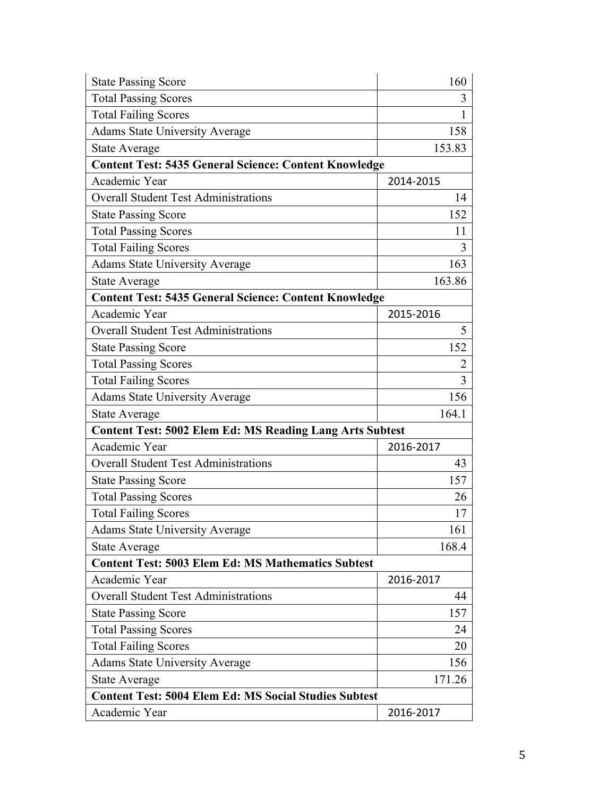| <b>State Passing Score</b>                                      | 160       |  |  |  |  |  |
|-----------------------------------------------------------------|-----------|--|--|--|--|--|
| <b>Total Passing Scores</b>                                     | 3         |  |  |  |  |  |
| <b>Total Failing Scores</b>                                     | 1         |  |  |  |  |  |
| <b>Adams State University Average</b>                           | 158       |  |  |  |  |  |
| <b>State Average</b>                                            | 153.83    |  |  |  |  |  |
| <b>Content Test: 5435 General Science: Content Knowledge</b>    |           |  |  |  |  |  |
| Academic Year                                                   | 2014-2015 |  |  |  |  |  |
| <b>Overall Student Test Administrations</b>                     | 14        |  |  |  |  |  |
| <b>State Passing Score</b>                                      | 152       |  |  |  |  |  |
| <b>Total Passing Scores</b>                                     | 11        |  |  |  |  |  |
| <b>Total Failing Scores</b>                                     | 3         |  |  |  |  |  |
| <b>Adams State University Average</b>                           | 163       |  |  |  |  |  |
| <b>State Average</b>                                            | 163.86    |  |  |  |  |  |
| <b>Content Test: 5435 General Science: Content Knowledge</b>    |           |  |  |  |  |  |
| Academic Year                                                   | 2015-2016 |  |  |  |  |  |
| <b>Overall Student Test Administrations</b>                     | 5         |  |  |  |  |  |
| <b>State Passing Score</b>                                      | 152       |  |  |  |  |  |
| <b>Total Passing Scores</b>                                     | 2         |  |  |  |  |  |
| <b>Total Failing Scores</b>                                     | 3         |  |  |  |  |  |
| <b>Adams State University Average</b>                           | 156       |  |  |  |  |  |
| <b>State Average</b>                                            | 164.1     |  |  |  |  |  |
| <b>Content Test: 5002 Elem Ed: MS Reading Lang Arts Subtest</b> |           |  |  |  |  |  |
| Academic Year                                                   | 2016-2017 |  |  |  |  |  |
| <b>Overall Student Test Administrations</b>                     | 43        |  |  |  |  |  |
| <b>State Passing Score</b>                                      | 157       |  |  |  |  |  |
| <b>Total Passing Scores</b>                                     | 26        |  |  |  |  |  |
| <b>Total Failing Scores</b>                                     | 17        |  |  |  |  |  |
| <b>Adams State University Average</b>                           | 161       |  |  |  |  |  |
| <b>State Average</b>                                            | 168.4     |  |  |  |  |  |
| <b>Content Test: 5003 Elem Ed: MS Mathematics Subtest</b>       |           |  |  |  |  |  |
| Academic Year                                                   | 2016-2017 |  |  |  |  |  |
| <b>Overall Student Test Administrations</b>                     | 44        |  |  |  |  |  |
| <b>State Passing Score</b>                                      | 157       |  |  |  |  |  |
| <b>Total Passing Scores</b>                                     | 24        |  |  |  |  |  |
| <b>Total Failing Scores</b>                                     | 20        |  |  |  |  |  |
| <b>Adams State University Average</b>                           | 156       |  |  |  |  |  |
| <b>State Average</b>                                            | 171.26    |  |  |  |  |  |
| <b>Content Test: 5004 Elem Ed: MS Social Studies Subtest</b>    |           |  |  |  |  |  |
| Academic Year                                                   | 2016-2017 |  |  |  |  |  |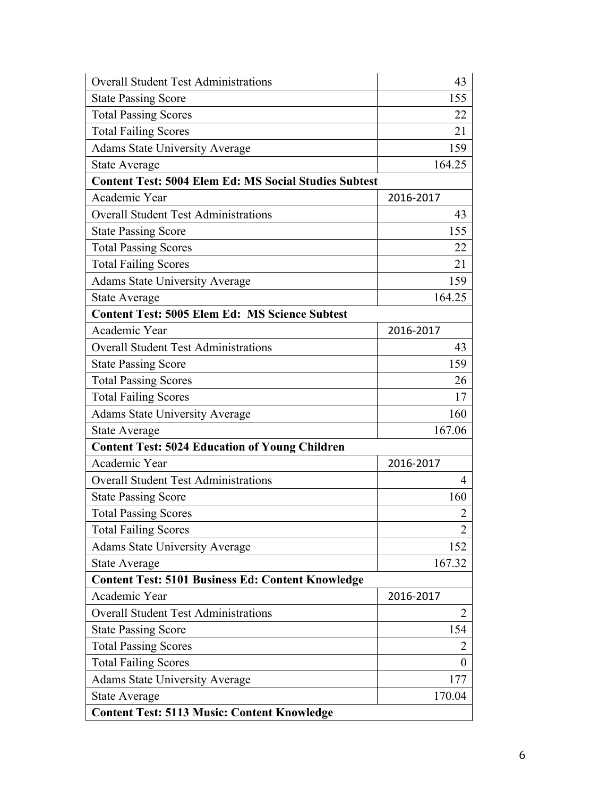| <b>Overall Student Test Administrations</b>                  | 43               |  |  |  |  |
|--------------------------------------------------------------|------------------|--|--|--|--|
| <b>State Passing Score</b>                                   | 155              |  |  |  |  |
| <b>Total Passing Scores</b>                                  | 22               |  |  |  |  |
| <b>Total Failing Scores</b>                                  | 21               |  |  |  |  |
| <b>Adams State University Average</b>                        | 159              |  |  |  |  |
| State Average                                                | 164.25           |  |  |  |  |
| <b>Content Test: 5004 Elem Ed: MS Social Studies Subtest</b> |                  |  |  |  |  |
| Academic Year                                                | 2016-2017        |  |  |  |  |
| <b>Overall Student Test Administrations</b>                  | 43               |  |  |  |  |
| <b>State Passing Score</b>                                   | 155              |  |  |  |  |
| <b>Total Passing Scores</b>                                  | 22               |  |  |  |  |
| <b>Total Failing Scores</b>                                  | 21               |  |  |  |  |
| <b>Adams State University Average</b>                        | 159              |  |  |  |  |
| State Average                                                | 164.25           |  |  |  |  |
| <b>Content Test: 5005 Elem Ed: MS Science Subtest</b>        |                  |  |  |  |  |
| Academic Year                                                | 2016-2017        |  |  |  |  |
| <b>Overall Student Test Administrations</b>                  | 43               |  |  |  |  |
| <b>State Passing Score</b>                                   | 159              |  |  |  |  |
| <b>Total Passing Scores</b>                                  | 26               |  |  |  |  |
| <b>Total Failing Scores</b>                                  | 17               |  |  |  |  |
| <b>Adams State University Average</b>                        | 160              |  |  |  |  |
| State Average                                                | 167.06           |  |  |  |  |
| <b>Content Test: 5024 Education of Young Children</b>        |                  |  |  |  |  |
| Academic Year                                                | 2016-2017        |  |  |  |  |
| <b>Overall Student Test Administrations</b>                  | 4                |  |  |  |  |
| <b>State Passing Score</b>                                   | 160              |  |  |  |  |
| <b>Total Passing Scores</b>                                  | $\overline{2}$   |  |  |  |  |
| <b>Total Failing Scores</b>                                  | 2                |  |  |  |  |
| <b>Adams State University Average</b>                        | 152              |  |  |  |  |
| State Average                                                | 167.32           |  |  |  |  |
| <b>Content Test: 5101 Business Ed: Content Knowledge</b>     |                  |  |  |  |  |
| Academic Year                                                | 2016-2017        |  |  |  |  |
| <b>Overall Student Test Administrations</b>                  | 2                |  |  |  |  |
| <b>State Passing Score</b>                                   | 154              |  |  |  |  |
| <b>Total Passing Scores</b>                                  | 2                |  |  |  |  |
| <b>Total Failing Scores</b>                                  | $\boldsymbol{0}$ |  |  |  |  |
| <b>Adams State University Average</b>                        | 177              |  |  |  |  |
| State Average                                                | 170.04           |  |  |  |  |
| <b>Content Test: 5113 Music: Content Knowledge</b>           |                  |  |  |  |  |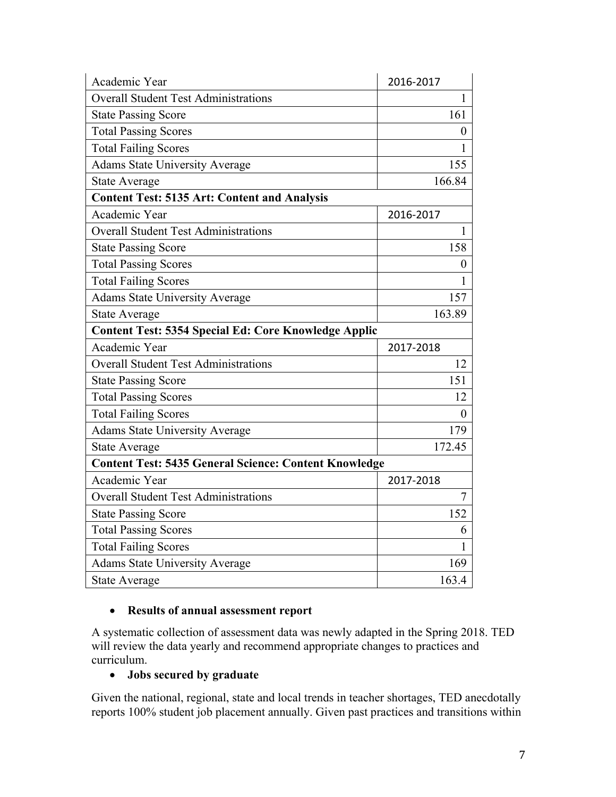| Academic Year                                                | 2016-2017        |
|--------------------------------------------------------------|------------------|
| <b>Overall Student Test Administrations</b>                  | $\mathbf{1}$     |
| <b>State Passing Score</b>                                   | 161              |
| <b>Total Passing Scores</b>                                  | $\boldsymbol{0}$ |
| <b>Total Failing Scores</b>                                  | 1                |
| <b>Adams State University Average</b>                        | 155              |
| <b>State Average</b>                                         | 166.84           |
| <b>Content Test: 5135 Art: Content and Analysis</b>          |                  |
| Academic Year                                                | 2016-2017        |
| <b>Overall Student Test Administrations</b>                  | 1                |
| <b>State Passing Score</b>                                   | 158              |
| <b>Total Passing Scores</b>                                  | $\boldsymbol{0}$ |
| <b>Total Failing Scores</b>                                  | 1                |
| <b>Adams State University Average</b>                        | 157              |
| <b>State Average</b>                                         | 163.89           |
| <b>Content Test: 5354 Special Ed: Core Knowledge Applic</b>  |                  |
| Academic Year                                                | 2017-2018        |
|                                                              |                  |
| <b>Overall Student Test Administrations</b>                  | 12               |
| <b>State Passing Score</b>                                   | 151              |
| <b>Total Passing Scores</b>                                  | 12               |
| <b>Total Failing Scores</b>                                  | $\overline{0}$   |
| <b>Adams State University Average</b>                        | 179              |
| <b>State Average</b>                                         | 172.45           |
| <b>Content Test: 5435 General Science: Content Knowledge</b> |                  |
| Academic Year                                                | 2017-2018        |
| <b>Overall Student Test Administrations</b>                  | $\tau$           |
| <b>State Passing Score</b>                                   | 152              |
| <b>Total Passing Scores</b>                                  | 6                |
| <b>Total Failing Scores</b>                                  | $\mathbf{1}$     |
| <b>Adams State University Average</b>                        | 169              |

### • **Results of annual assessment report**

A systematic collection of assessment data was newly adapted in the Spring 2018. TED will review the data yearly and recommend appropriate changes to practices and curriculum.

### • **Jobs secured by graduate**

Given the national, regional, state and local trends in teacher shortages, TED anecdotally reports 100% student job placement annually. Given past practices and transitions within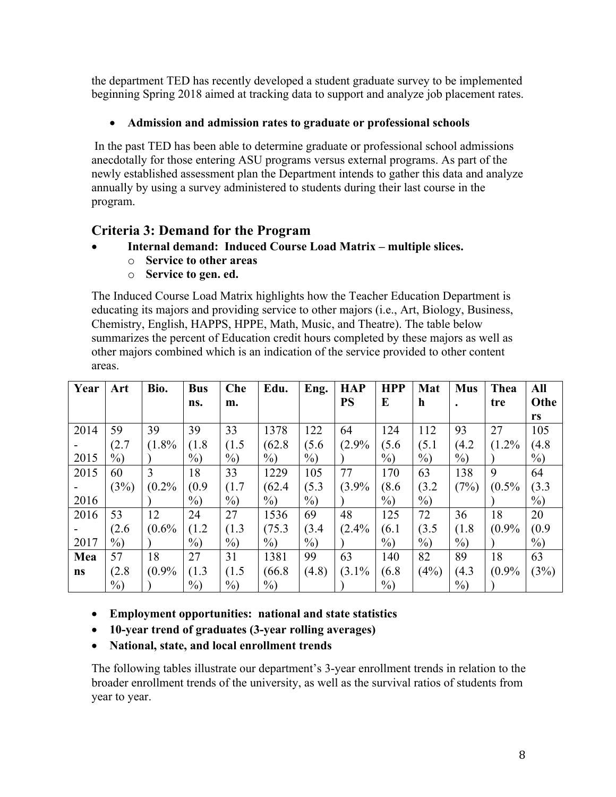the department TED has recently developed a student graduate survey to be implemented beginning Spring 2018 aimed at tracking data to support and analyze job placement rates.

### • **Admission and admission rates to graduate or professional schools**

In the past TED has been able to determine graduate or professional school admissions anecdotally for those entering ASU programs versus external programs. As part of the newly established assessment plan the Department intends to gather this data and analyze annually by using a survey administered to students during their last course in the program.

## **Criteria 3: Demand for the Program**

- **Internal demand: Induced Course Load Matrix – multiple slices.**
	- o **Service to other areas**
		- o **Service to gen. ed.**

The Induced Course Load Matrix highlights how the Teacher Education Department is educating its majors and providing service to other majors (i.e., Art, Biology, Business, Chemistry, English, HAPPS, HPPE, Math, Music, and Theatre). The table below summarizes the percent of Education credit hours completed by these majors as well as other majors combined which is an indication of the service provided to other content areas.

| Year | Art    | Bio.  | <b>Bus</b> | Che    | Edu.   | Eng.   | <b>HAP</b> | <b>HPP</b> | Mat         | <b>Mus</b> | Thea  | All    |
|------|--------|-------|------------|--------|--------|--------|------------|------------|-------------|------------|-------|--------|
|      |        |       | ns.        | m.     |        |        | <b>PS</b>  | $\bf{E}$   | $\mathbf h$ |            | tre   | Othe   |
|      |        |       |            |        |        |        |            |            |             |            |       | rs     |
| 2014 | 59     | 39    | 39         | 33     | 1378   | 122    | 64         | 124        | 112         | 93         | 27    | 105    |
|      | (2.7)  | (1.8% | (1.8)      | (1.5)  | (62.8) | (5.6)  | (2.9%      | (5.6)      | (5.1)       | (4.2)      | (1.2% | (4.8)  |
| 2015 | $\%$ ) |       | $\%$ )     | $\%$ ) | $\%$ ) | $\%$ ) |            | $\%$       | $\%$ )      | $\%$ )     |       | $\%$ ) |
| 2015 | 60     | 3     | 18         | 33     | 1229   | 105    | 77         | 170        | 63          | 138        | 9     | 64     |
|      | (3%)   | (0.2% | (0.9)      | (1.7)  | (62.4) | (5.3)  | (3.9%      | (8.6)      | (3.2)       | (7%)       | (0.5% | (3.3)  |
| 2016 |        |       | $\%$ )     | $\%$ ) | $\%$ ) | $\%$ ) |            | $\%$ )     | $\%$ )      |            |       | $\%$ ) |
| 2016 | 53     | 12    | 24         | 27     | 1536   | 69     | 48         | 125        | 72          | 36         | 18    | 20     |
|      | (2.6)  | (0.6% | (1.2)      | (1.3)  | (75.3) | (3.4)  | (2.4%      | (6.1)      | (3.5)       | (1.8)      | (0.9% | (0.9)  |
| 2017 | $\%$ ) |       | $\%$ )     | $\%$ ) | $\%$ ) | $\%$ ) |            | $\%$       | $\%$ )      | $\%$ )     |       | $\%$ ) |
| Mea  | 57     | 18    | 27         | 31     | 1381   | 99     | 63         | 140        | 82          | 89         | 18    | 63     |
| ns   | (2.8)  | (0.9% | (1.3)      | (1.5)  | (66.8) | (4.8)  | (3.1%      | (6.8)      | (4%)        | (4.3)      | (0.9% | (3%)   |
|      | $\%$ ) |       | $\%$ )     | $\%$ ) | $\%$   |        |            | $\%$       |             | $\%$ )     |       |        |

• **Employment opportunities: national and state statistics** 

- **10-year trend of graduates (3-year rolling averages)**
- **National, state, and local enrollment trends**

The following tables illustrate our department's 3-year enrollment trends in relation to the broader enrollment trends of the university, as well as the survival ratios of students from year to year.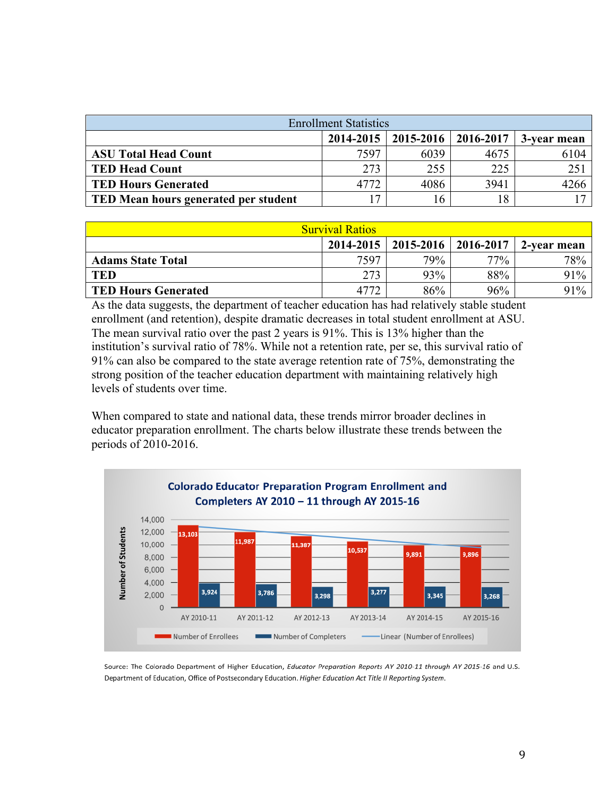| <b>Enrollment Statistics</b>                            |                 |      |      |      |  |  |  |  |  |
|---------------------------------------------------------|-----------------|------|------|------|--|--|--|--|--|
| $2014 - 2015$   2015-2016  <br>2016-2017<br>3-year mean |                 |      |      |      |  |  |  |  |  |
| <b>ASU Total Head Count</b>                             | 7597            | 6039 | 4675 | 6104 |  |  |  |  |  |
| <b>TED Head Count</b>                                   | 273             | 255  | 225  | 251  |  |  |  |  |  |
| <b>TED Hours Generated</b>                              | 4772            | 4086 | 3941 | 4266 |  |  |  |  |  |
| <b>TED Mean hours generated per student</b>             | $\mathbf{\tau}$ | 16   | 18   |      |  |  |  |  |  |

| <b>Survival Ratios</b>                                     |      |     |        |     |  |  |  |  |  |
|------------------------------------------------------------|------|-----|--------|-----|--|--|--|--|--|
| 2014-2015<br>$2015 - 2016$<br>2016-2017<br>.   2-vear mean |      |     |        |     |  |  |  |  |  |
| <b>Adams State Total</b>                                   | 7597 | 79% | $77\%$ | 78% |  |  |  |  |  |
| <b>TED</b>                                                 | 273  | 93% | 88%    | 91% |  |  |  |  |  |
| <b>TED Hours Generated</b>                                 |      | 86% | 96%    | 91% |  |  |  |  |  |

As the data suggests, the department of teacher education has had relatively stable student enrollment (and retention), despite dramatic decreases in total student enrollment at ASU. The mean survival ratio over the past 2 years is 91%. This is 13% higher than the institution's survival ratio of 78%. While not a retention rate, per se, this survival ratio of 91% can also be compared to the state average retention rate of 75%, demonstrating the strong position of the teacher education department with maintaining relatively high levels of students over time.

When compared to state and national data, these trends mirror broader declines in educator preparation enrollment. The charts below illustrate these trends between the periods of 2010-2016.



Source: The Colorado Department of Higher Education, Educator Preparation Reports AY 2010-11 through AY 2015-16 and U.S. Department of Education, Office of Postsecondary Education. Higher Education Act Title II Reporting System.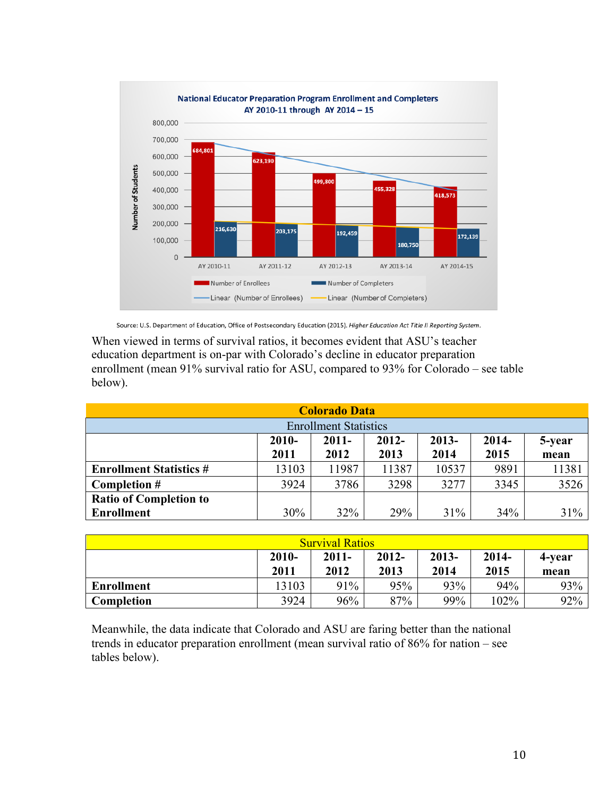

Source: U.S. Department of Education, Office of Postsecondary Education (2015). Higher Education Act Title II Reporting System.

When viewed in terms of survival ratios, it becomes evident that ASU's teacher education department is on-par with Colorado's decline in educator preparation enrollment (mean 91% survival ratio for ASU, compared to 93% for Colorado – see table below).

| <b>Colorado Data</b>                                            |        |       |       |       |      |       |  |  |  |
|-----------------------------------------------------------------|--------|-------|-------|-------|------|-------|--|--|--|
| <b>Enrollment Statistics</b>                                    |        |       |       |       |      |       |  |  |  |
| $2014-$<br>$2010-$<br>$2012 -$<br>$2013-$<br>$2011 -$<br>5-year |        |       |       |       |      |       |  |  |  |
| 2013<br>2014<br>2011<br>2012<br>2015<br>mean                    |        |       |       |       |      |       |  |  |  |
| <b>Enrollment Statistics #</b>                                  | 13103  | 11987 | 11387 | 10537 | 9891 | 11381 |  |  |  |
| Completion #                                                    | 3924   | 3786  | 3298  | 3277  | 3345 | 3526  |  |  |  |
| <b>Ratio of Completion to</b>                                   |        |       |       |       |      |       |  |  |  |
| <b>Enrollment</b>                                               | $30\%$ | 32%   | 29%   | 31%   | 34%  | 31%   |  |  |  |

| <b>Survival Ratios</b>                                                                                            |       |     |     |     |         |     |  |  |  |
|-------------------------------------------------------------------------------------------------------------------|-------|-----|-----|-----|---------|-----|--|--|--|
| $2012 -$<br>$2013-$<br>$2010 -$<br>$2011 -$<br>$2014 -$<br>4-year<br>2012<br>2011<br>2013<br>2014<br>2015<br>mean |       |     |     |     |         |     |  |  |  |
| <b>Enrollment</b>                                                                                                 | 13103 | 91% | 95% | 93% | 94%     | 93% |  |  |  |
| Completion                                                                                                        | 3924  | 96% | 87% | 99% | $102\%$ | 92% |  |  |  |

Meanwhile, the data indicate that Colorado and ASU are faring better than the national trends in educator preparation enrollment (mean survival ratio of 86% for nation – see tables below).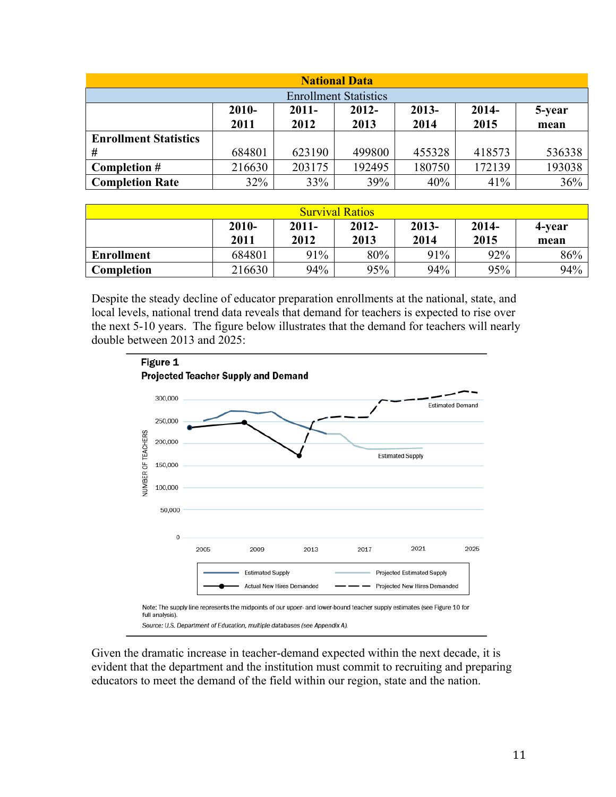| <b>National Data</b>                                              |        |        |        |        |        |        |  |  |  |
|-------------------------------------------------------------------|--------|--------|--------|--------|--------|--------|--|--|--|
| <b>Enrollment Statistics</b>                                      |        |        |        |        |        |        |  |  |  |
| $2013 -$<br>$2010 -$<br>$2014-$<br>$2011 -$<br>$2012 -$<br>5-year |        |        |        |        |        |        |  |  |  |
|                                                                   | 2011   | 2012   | 2013   | 2014   | 2015   | mean   |  |  |  |
| <b>Enrollment Statistics</b>                                      |        |        |        |        |        |        |  |  |  |
| #                                                                 | 684801 | 623190 | 499800 | 455328 | 418573 | 536338 |  |  |  |
| Completion $#$                                                    | 216630 | 203175 | 192495 | 180750 | 172139 | 193038 |  |  |  |
| <b>Completion Rate</b>                                            | 32%    | 33%    | 39%    | 40%    | 41%    | 36%    |  |  |  |

| <b>Survival Ratios</b> |          |          |          |          |         |        |  |  |  |
|------------------------|----------|----------|----------|----------|---------|--------|--|--|--|
|                        | $2010 -$ | $2011 -$ | $2012 -$ | $2013 -$ | $2014-$ | 4-year |  |  |  |
|                        | 2011     | 2012     | 2013     | 2014     | 2015    | mean   |  |  |  |
| <b>Enrollment</b>      | 684801   | 91%      | 80%      | 91%      | 92%     | 86%    |  |  |  |
| Completion             | 216630   | 94%      | 95%      | 94%      | 95%     | 94%    |  |  |  |

Despite the steady decline of educator preparation enrollments at the national, state, and local levels, national trend data reveals that demand for teachers is expected to rise over the next 5-10 years. The figure below illustrates that the demand for teachers will nearly double between 2013 and 2025:



Given the dramatic increase in teacher-demand expected within the next decade, it is evident that the department and the institution must commit to recruiting and preparing educators to meet the demand of the field within our region, state and the nation.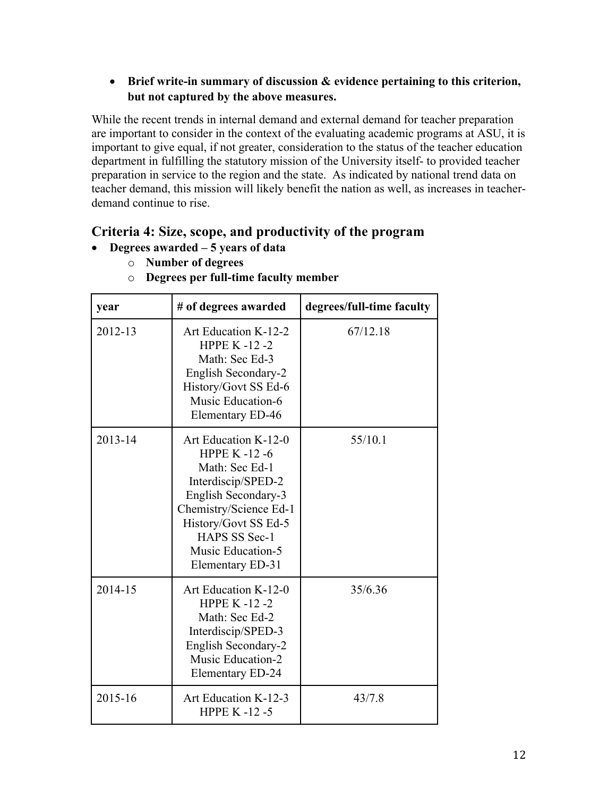### • **Brief write-in summary of discussion & evidence pertaining to this criterion, but not captured by the above measures.**

While the recent trends in internal demand and external demand for teacher preparation are important to consider in the context of the evaluating academic programs at ASU, it is important to give equal, if not greater, consideration to the status of the teacher education department in fulfilling the statutory mission of the University itself- to provided teacher preparation in service to the region and the state. As indicated by national trend data on teacher demand, this mission will likely benefit the nation as well, as increases in teacherdemand continue to rise.

## **Criteria 4: Size, scope, and productivity of the program**

- **Degrees awarded – 5 years of data**
	- o **Number of degrees**

| year    | # of degrees awarded                                                                                                                                                                                                         | degrees/full-time faculty |
|---------|------------------------------------------------------------------------------------------------------------------------------------------------------------------------------------------------------------------------------|---------------------------|
| 2012-13 | Art Education K-12-2<br><b>HPPE K-12-2</b><br>Math: Sec Ed-3<br>English Secondary-2<br>History/Govt SS Ed-6<br>Music Education-6<br>Elementary ED-46                                                                         | 67/12.18                  |
| 2013-14 | Art Education K-12-0<br><b>HPPE K-12-6</b><br>Math: Sec Ed-1<br>Interdiscip/SPED-2<br>English Secondary-3<br>Chemistry/Science Ed-1<br>History/Govt SS Ed-5<br>HAPS SS Sec-1<br><b>Music Education-5</b><br>Elementary ED-31 | 55/10.1                   |
| 2014-15 | Art Education K-12-0<br><b>HPPE K-12-2</b><br>Math: Sec Ed-2<br>Interdiscip/SPED-3<br>English Secondary-2<br><b>Music Education-2</b><br>Elementary ED-24                                                                    | 35/6.36                   |
| 2015-16 | Art Education K-12-3<br><b>HPPE K -12 -5</b>                                                                                                                                                                                 | 43/7.8                    |

o **Degrees per full-time faculty member**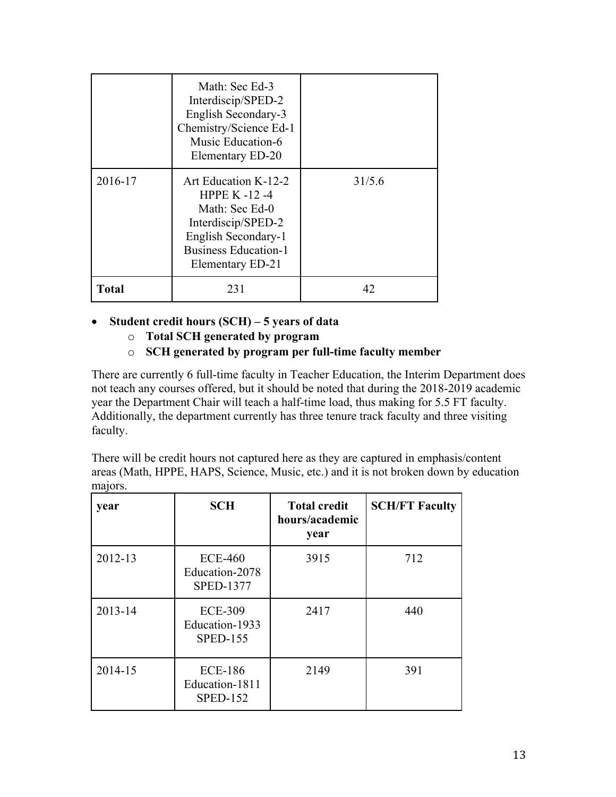|              | Math: Sec Ed-3<br>Interdiscip/SPED-2<br>English Secondary-3<br>Chemistry/Science Ed-1<br>Music Education-6<br>Elementary ED-20                           |        |
|--------------|----------------------------------------------------------------------------------------------------------------------------------------------------------|--------|
| 2016-17      | Art Education K-12-2<br>HPPE K $-12-4$<br>Math: Sec Ed-0<br>Interdiscip/SPED-2<br>English Secondary-1<br><b>Business Education-1</b><br>Elementary ED-21 | 31/5.6 |
| <b>Total</b> | 231                                                                                                                                                      | 42     |

- **Student credit hours (SCH) – 5 years of data**
	- o **Total SCH generated by program**
	- o **SCH generated by program per full-time faculty member**

There are currently 6 full-time faculty in Teacher Education, the Interim Department does not teach any courses offered, but it should be noted that during the 2018-2019 academic year the Department Chair will teach a half-time load, thus making for 5.5 FT faculty. Additionally, the department currently has three tenure track faculty and three visiting faculty.

There will be credit hours not captured here as they are captured in emphasis/content areas (Math, HPPE, HAPS, Science, Music, etc.) and it is not broken down by education majors.

| year    | <b>SCH</b>                                          | <b>Total credit</b><br>hours/academic<br>year | <b>SCH/FT Faculty</b> |
|---------|-----------------------------------------------------|-----------------------------------------------|-----------------------|
| 2012-13 | <b>ECE-460</b><br>Education-2078<br>SPED-1377       | 3915                                          | 712                   |
| 2013-14 | <b>ECE-309</b><br>Education-1933<br><b>SPED-155</b> | 2417                                          | 440                   |
| 2014-15 | <b>ECE-186</b><br>Education-1811<br><b>SPED-152</b> | 2149                                          | 391                   |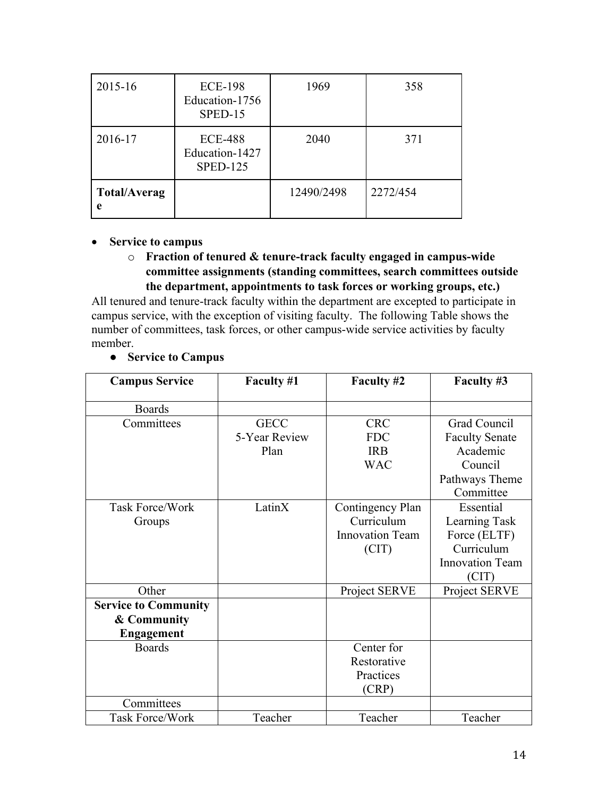| 2015-16                  | <b>ECE-198</b><br>Education-1756<br>SPED-15         | 1969       | 358      |
|--------------------------|-----------------------------------------------------|------------|----------|
| 2016-17                  | <b>ECE-488</b><br>Education-1427<br><b>SPED-125</b> | 2040       | 371      |
| <b>Total/Averag</b><br>e |                                                     | 12490/2498 | 2272/454 |

### • **Service to campus**

### o **Fraction of tenured & tenure-track faculty engaged in campus-wide committee assignments (standing committees, search committees outside the department, appointments to task forces or working groups, etc.)**

All tenured and tenure-track faculty within the department are excepted to participate in campus service, with the exception of visiting faculty. The following Table shows the number of committees, task forces, or other campus-wide service activities by faculty member.

| <b>Campus Service</b>       | Faculty #1    | Faculty #2             | Faculty #3             |
|-----------------------------|---------------|------------------------|------------------------|
| <b>Boards</b>               |               |                        |                        |
| Committees                  | <b>GECC</b>   | <b>CRC</b>             | Grad Council           |
|                             | 5-Year Review | <b>FDC</b>             | <b>Faculty Senate</b>  |
|                             | Plan          | <b>IRB</b>             | Academic               |
|                             |               | <b>WAC</b>             | Council                |
|                             |               |                        | Pathways Theme         |
|                             |               |                        | Committee              |
| <b>Task Force/Work</b>      | LatinX        | Contingency Plan       | Essential              |
| Groups                      |               | Curriculum             | Learning Task          |
|                             |               | <b>Innovation Team</b> | Force (ELTF)           |
|                             |               | (CIT)                  | Curriculum             |
|                             |               |                        | <b>Innovation Team</b> |
|                             |               |                        | (CIT)                  |
| Other                       |               | Project SERVE          | Project SERVE          |
| <b>Service to Community</b> |               |                        |                        |
| & Community                 |               |                        |                        |
| <b>Engagement</b>           |               |                        |                        |
| <b>Boards</b>               |               | Center for             |                        |
|                             |               | Restorative            |                        |
|                             |               | Practices              |                        |
|                             |               | (CRP)                  |                        |
| Committees                  |               |                        |                        |
| Task Force/Work             | Teacher       | Teacher                | Teacher                |

### ● **Service to Campus**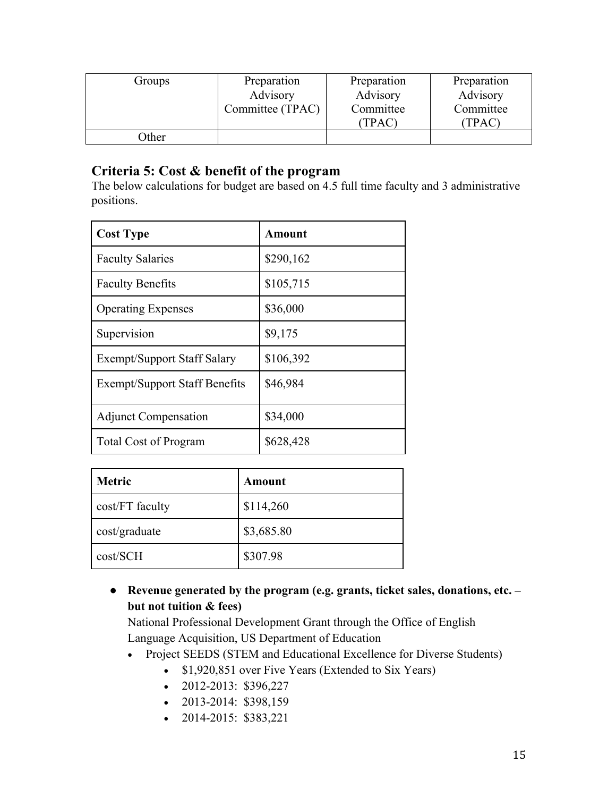| Groups | Preparation      | Preparation | Preparation |
|--------|------------------|-------------|-------------|
|        | Advisory         | Advisory    | Advisory    |
|        | Committee (TPAC) | Committee   | Committee   |
|        |                  | (TPAC)      | (TPAC)      |
| )ther  |                  |             |             |

## **Criteria 5: Cost & benefit of the program**

The below calculations for budget are based on 4.5 full time faculty and 3 administrative positions.

| <b>Cost Type</b>                     | <b>Amount</b> |
|--------------------------------------|---------------|
| <b>Faculty Salaries</b>              | \$290,162     |
| <b>Faculty Benefits</b>              | \$105,715     |
| <b>Operating Expenses</b>            | \$36,000      |
| Supervision                          | \$9,175       |
| <b>Exempt/Support Staff Salary</b>   | \$106,392     |
| <b>Exempt/Support Staff Benefits</b> | \$46,984      |
| <b>Adjunct Compensation</b>          | \$34,000      |
| <b>Total Cost of Program</b>         | \$628,428     |

| <b>Metric</b>   | Amount     |
|-----------------|------------|
| cost/FT faculty | \$114,260  |
| cost/graduate   | \$3,685.80 |
| cost/SCH        | \$307.98   |

● **Revenue generated by the program (e.g. grants, ticket sales, donations, etc. – but not tuition & fees)** 

National Professional Development Grant through the Office of English Language Acquisition, US Department of Education

- Project SEEDS (STEM and Educational Excellence for Diverse Students)
	- \$1,920,851 over Five Years (Extended to Six Years)
	- $\bullet$  2012-2013: \$396,227
	- $\bullet$  2013-2014: \$398,159
	- 2014-2015: \$383,221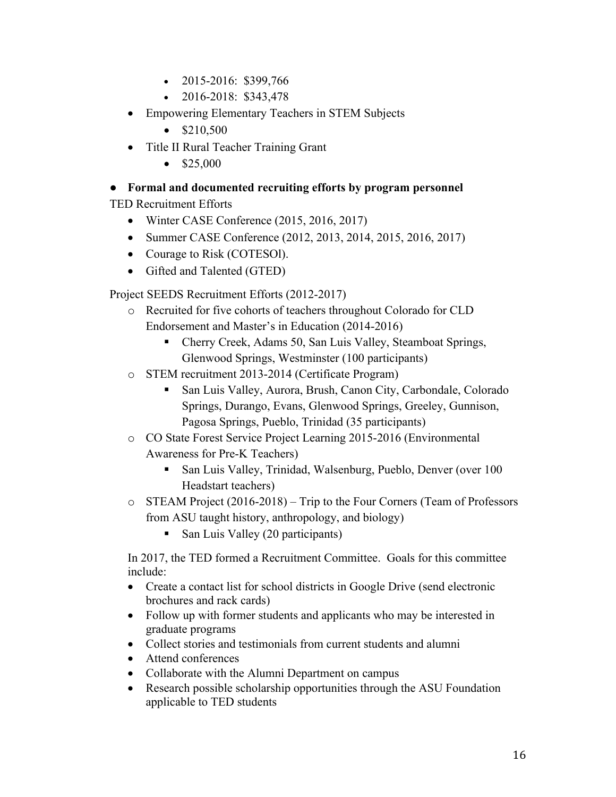- 2015-2016: \$399,766
- 2016-2018: \$343,478
- Empowering Elementary Teachers in STEM Subjects
	- $$210,500$
- Title II Rural Teacher Training Grant
	- $$25,000$

### ● **Formal and documented recruiting efforts by program personnel**

TED Recruitment Efforts

- Winter CASE Conference (2015, 2016, 2017)
- Summer CASE Conference (2012, 2013, 2014, 2015, 2016, 2017)
- Courage to Risk (COTESOl).
- Gifted and Talented (GTED)

Project SEEDS Recruitment Efforts (2012-2017)

- o Recruited for five cohorts of teachers throughout Colorado for CLD Endorsement and Master's in Education (2014-2016)
	- Cherry Creek, Adams 50, San Luis Valley, Steamboat Springs, Glenwood Springs, Westminster (100 participants)
- o STEM recruitment 2013-2014 (Certificate Program)
	- San Luis Valley, Aurora, Brush, Canon City, Carbondale, Colorado Springs, Durango, Evans, Glenwood Springs, Greeley, Gunnison, Pagosa Springs, Pueblo, Trinidad (35 participants)
- o CO State Forest Service Project Learning 2015-2016 (Environmental Awareness for Pre-K Teachers)
	- San Luis Valley, Trinidad, Walsenburg, Pueblo, Denver (over 100 Headstart teachers)
- o STEAM Project (2016-2018) Trip to the Four Corners (Team of Professors from ASU taught history, anthropology, and biology)
	- San Luis Valley (20 participants)

In 2017, the TED formed a Recruitment Committee. Goals for this committee include:

- Create a contact list for school districts in Google Drive (send electronic brochures and rack cards)
- Follow up with former students and applicants who may be interested in graduate programs
- Collect stories and testimonials from current students and alumni
- Attend conferences
- Collaborate with the Alumni Department on campus
- Research possible scholarship opportunities through the ASU Foundation applicable to TED students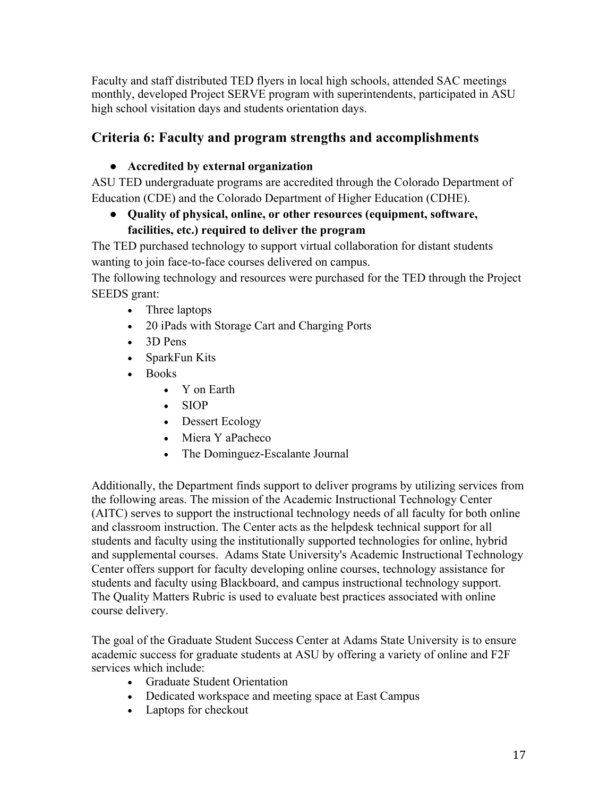Faculty and staff distributed TED flyers in local high schools, attended SAC meetings monthly, developed Project SERVE program with superintendents, participated in ASU high school visitation days and students orientation days.

# **Criteria 6: Faculty and program strengths and accomplishments**

## ● **Accredited by external organization**

ASU TED undergraduate programs are accredited through the Colorado Department of Education (CDE) and the Colorado Department of Higher Education (CDHE).

## ● **Quality of physical, online, or other resources (equipment, software, facilities, etc.) required to deliver the program**

The TED purchased technology to support virtual collaboration for distant students wanting to join face-to-face courses delivered on campus.

The following technology and resources were purchased for the TED through the Project SEEDS grant:

- Three laptops
- 20 iPads with Storage Cart and Charging Ports
- 3D Pens
- SparkFun Kits
- Books
	- Y on Earth
	- SIOP
	- Dessert Ecology
	- Miera Y aPacheco
	- The Dominguez-Escalante Journal

Additionally, the Department finds support to deliver programs by utilizing services from the following areas. The mission of the Academic Instructional Technology Center (AITC) serves to support the instructional technology needs of all faculty for both online and classroom instruction. The Center acts as the helpdesk technical support for all students and faculty using the institutionally supported technologies for online, hybrid and supplemental courses. Adams State University's Academic Instructional Technology Center offers support for faculty developing online courses, technology assistance for students and faculty using Blackboard, and campus instructional technology support. The Quality Matters Rubric is used to evaluate best practices associated with online course delivery.

The goal of the Graduate Student Success Center at Adams State University is to ensure academic success for graduate students at ASU by offering a variety of online and F2F services which include:

- Graduate Student Orientation
- Dedicated workspace and meeting space at East Campus
- Laptops for checkout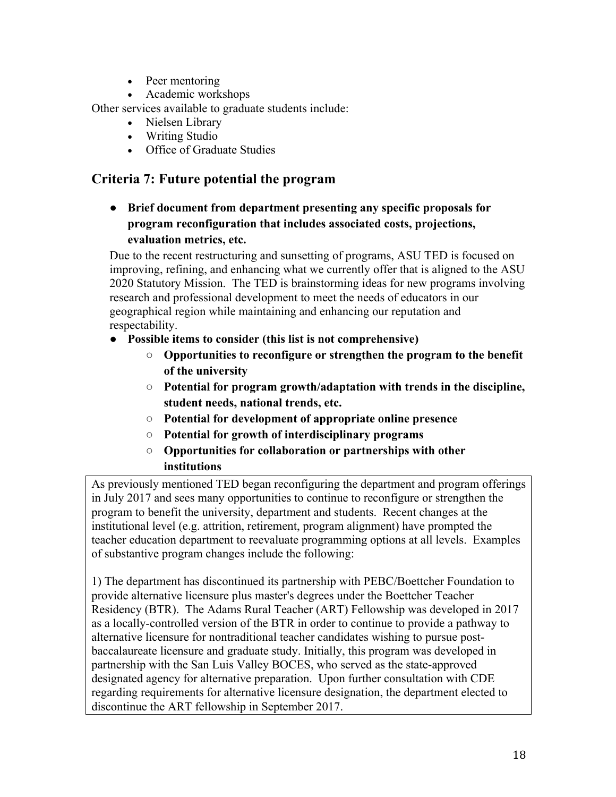- Peer mentoring
- Academic workshops

Other services available to graduate students include:

- Nielsen Library
- Writing Studio
- Office of Graduate Studies

## **Criteria 7: Future potential the program**

● **Brief document from department presenting any specific proposals for program reconfiguration that includes associated costs, projections, evaluation metrics, etc.** 

Due to the recent restructuring and sunsetting of programs, ASU TED is focused on improving, refining, and enhancing what we currently offer that is aligned to the ASU 2020 Statutory Mission. The TED is brainstorming ideas for new programs involving research and professional development to meet the needs of educators in our geographical region while maintaining and enhancing our reputation and respectability.

- **Possible items to consider (this list is not comprehensive)** 
	- **Opportunities to reconfigure or strengthen the program to the benefit of the university**
	- **Potential for program growth/adaptation with trends in the discipline, student needs, national trends, etc.**
	- **Potential for development of appropriate online presence**
	- **Potential for growth of interdisciplinary programs**
	- **Opportunities for collaboration or partnerships with other institutions**

As previously mentioned TED began reconfiguring the department and program offerings in July 2017 and sees many opportunities to continue to reconfigure or strengthen the program to benefit the university, department and students. Recent changes at the institutional level (e.g. attrition, retirement, program alignment) have prompted the teacher education department to reevaluate programming options at all levels. Examples of substantive program changes include the following:

1) The department has discontinued its partnership with PEBC/Boettcher Foundation to provide alternative licensure plus master's degrees under the Boettcher Teacher Residency (BTR). The Adams Rural Teacher (ART) Fellowship was developed in 2017 as a locally-controlled version of the BTR in order to continue to provide a pathway to alternative licensure for nontraditional teacher candidates wishing to pursue postbaccalaureate licensure and graduate study. Initially, this program was developed in partnership with the San Luis Valley BOCES, who served as the state-approved designated agency for alternative preparation. Upon further consultation with CDE regarding requirements for alternative licensure designation, the department elected to discontinue the ART fellowship in September 2017.